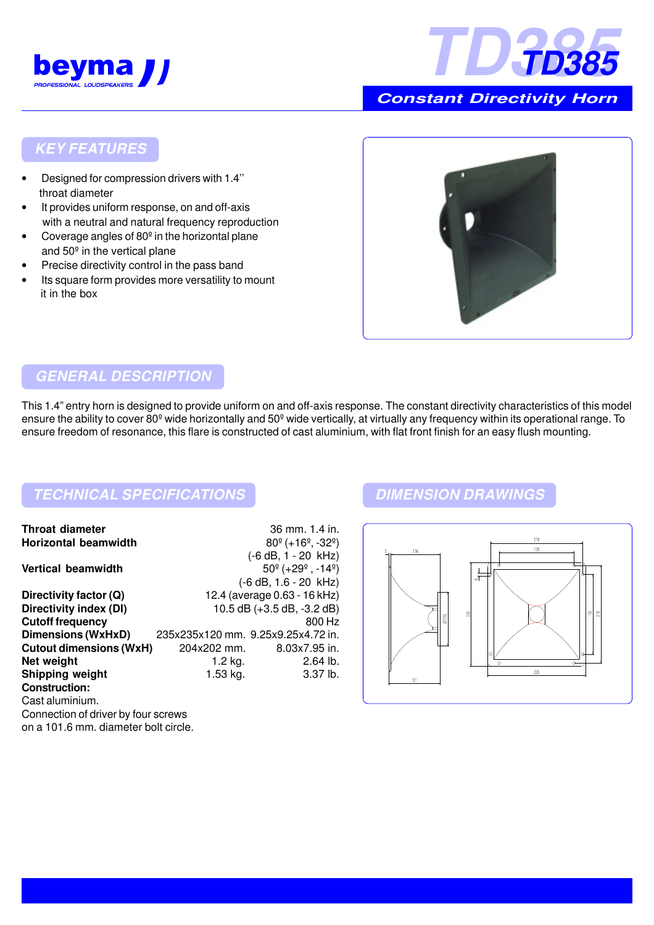



 **Constant Directivity Horn**

### **KEY FEATURES**

- Designed for compression drivers with 1.4'' throat diameter
- It provides uniform response, on and off-axis with a neutral and natural frequency reproduction
- Coverage angles of 80º in the horizontal plane and 50º in the vertical plane
- Precise directivity control in the pass band
- Its square form provides more versatility to mount it in the box



### **GENERAL DESCRIPTION**

This 1.4" entry horn is designed to provide uniform on and off-axis response. The constant directivity characteristics of this model ensure the ability to cover 80º wide horizontally and 50º wide vertically, at virtually any frequency within its operational range. To ensure freedom of resonance, this flare is constructed of cast aluminium, with flat front finish for an easy flush mounting.

# **TECHNICAL SPECIFICATIONS DIMENSION DRAWINGS**

on a 101.6 mm. diameter bolt circle.

| <b>Throat diameter</b>              |                                    | 36 mm. 1.4 in.                                      |
|-------------------------------------|------------------------------------|-----------------------------------------------------|
| <b>Horizontal beamwidth</b>         |                                    | $80^{\circ}$ (+16 <sup>o</sup> , -32 <sup>o</sup> ) |
|                                     |                                    | $(-6 dB, 1 - 20 kHz)$                               |
| <b>Vertical beamwidth</b>           |                                    | $50^{\circ}$ (+29 $^{\circ}$ , -14 $^{\circ}$ )     |
|                                     |                                    | $(-6 dB, 1.6 - 20 kHz)$                             |
| Directivity factor (Q)              | 12.4 (average 0.63 - 16 kHz)       |                                                     |
| Directivity index (DI)              | 10.5 dB $(+3.5$ dB, $-3.2$ dB)     |                                                     |
| <b>Cutoff frequency</b>             |                                    | 800 Hz                                              |
| Dimensions (WxHxD)                  | 235x235x120 mm. 9.25x9.25x4.72 in. |                                                     |
| <b>Cutout dimensions (WxH)</b>      | 204x202 mm.                        | 8.03x7.95 in.                                       |
| Net weight                          | 1.2 $kg.$                          | $2.64$ lb.                                          |
| <b>Shipping weight</b>              | $1.53$ kg.                         | 3.37 lb.                                            |
| <b>Construction:</b>                |                                    |                                                     |
| Cast aluminium.                     |                                    |                                                     |
| Connection of driver by four screws |                                    |                                                     |